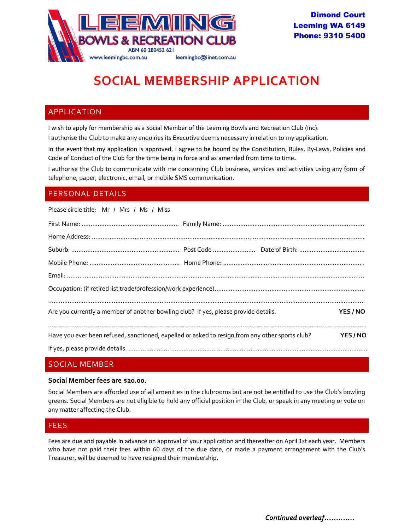

# **SOCIAL MEMBERSHIP APPLICATION**

## APPLICATION

I wish to apply for membership as a Social Member of the Leeming Bowls and Recreation Club (Inc).

I authorise the Club to make any enquiries its Executive deems necessary in relation to my application.

In the event that my application is approved, I agree to be bound by the Constitution, Rules, By-Laws, Policies and Code of Conduct of the Club for the time being in force and as amended from time to time**.**

I authorise the Club to communicate with me concerning Club business, services and activities using any form of telephone, paper, electronic, email, or mobile SMS communication.

## PERSONAL DETAILS

Please circle title; Mr / Mrs / Ms / Miss

| Are you currently a member of another bowling club? If yes, please provide details.             |  |  | YES / NO |  |
|-------------------------------------------------------------------------------------------------|--|--|----------|--|
| Have you ever been refused, sanctioned, expelled or asked to resign from any other sports club? |  |  | YES / NO |  |
|                                                                                                 |  |  |          |  |

## SOCIAL MEMBER

#### **Social Member fees are \$20.00.**

Social Members are afforded use of all amenities in the clubrooms but are not be entitled to use the Club's bowling greens. Social Members are not eligible to hold any official position in the Club, or speak in any meeting or vote on any matter affecting the Club.

## FEES

Fees are due and payable in advance on approval of your application and thereafter on April 1st each year. Members who have not paid their fees within 60 days of the due date, or made a payment arrangement with the Club's Treasurer, will be deemed to have resigned their membership.

*Continued overleaf………….*